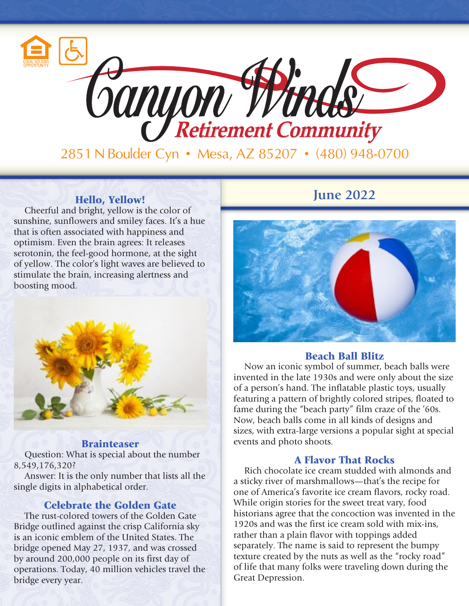

2851 N Boulder Cyn • Mesa, AZ 85207 • (480) 948-0700

Cheerful and bright, yellow is the color of sunshine, sunflowers and smiley faces. It's a hue that is often associated with happiness and optimism. Even the brain agrees: It releases serotonin, the feel-good hormone, at the sight of yellow. The color's light waves are believed to stimulate the brain, increasing alertness and boosting mood.



#### **Brainteaser**

Question: What is special about the number 8,549,176,320?

Answer: It is the only number that lists all the single digits in alphabetical order.

### Celebrate the Golden Gate

The rust-colored towers of the Golden Gate Bridge outlined against the crisp California sky is an iconic emblem of the United States. The bridge opened May 27, 1937, and was crossed by around 200,000 people on its first day of operations. Today, 40 million vehicles travel the bridge every year.

## **Fixable Figure** *June* 2022



#### Beach Ball Blitz

Now an iconic symbol of summer, beach balls were invented in the late 1930s and were only about the size of a person's hand. The inflatable plastic toys, usually featuring a pattern of brightly colored stripes, floated to fame during the "beach party" film craze of the '60s. Now, beach balls come in all kinds of designs and sizes, with extra-large versions a popular sight at special events and photo shoots.

#### A Flavor That Rocks

Rich chocolate ice cream studded with almonds and a sticky river of marshmallows—that's the recipe for one of America's favorite ice cream flavors, rocky road. While origin stories for the sweet treat vary, food historians agree that the concoction was invented in the 1920s and was the first ice cream sold with mix-ins, rather than a plain flavor with toppings added separately. The name is said to represent the bumpy texture created by the nuts as well as the "rocky road" of life that many folks were traveling down during the Great Depression.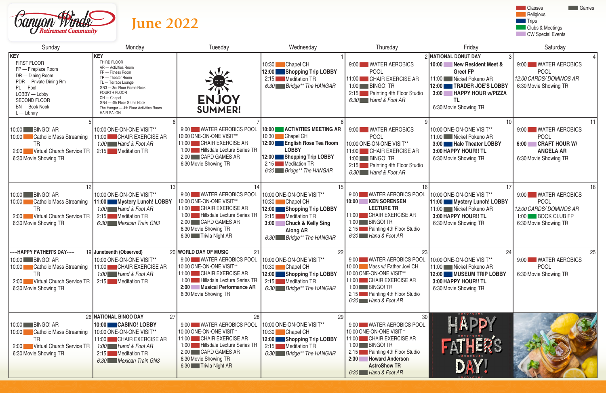

# **June 2022**



| Sunday                                                                                                                                                                                    | Monday                                                                                                                                                                                                                                                                              | Tuesday                                                                                                                                                                                                    | Wednesday                                                                                                                                                                      | Thursday                                                                                                                                                                                                                     | Friday                                                                                                                                                                              | Saturday                                                                                              |
|-------------------------------------------------------------------------------------------------------------------------------------------------------------------------------------------|-------------------------------------------------------------------------------------------------------------------------------------------------------------------------------------------------------------------------------------------------------------------------------------|------------------------------------------------------------------------------------------------------------------------------------------------------------------------------------------------------------|--------------------------------------------------------------------------------------------------------------------------------------------------------------------------------|------------------------------------------------------------------------------------------------------------------------------------------------------------------------------------------------------------------------------|-------------------------------------------------------------------------------------------------------------------------------------------------------------------------------------|-------------------------------------------------------------------------------------------------------|
| <b>KEY</b><br>FIRST FLOOR<br>FP - Fireplace Room<br>DR - Dining Room<br>PDR - Private Dining Rm<br>$PL - Pool$<br>LOBBY - Lobby<br>SECOND FLOOR<br><b>BN</b> - Book Nook<br>$L$ - Library | <b>KEY</b><br>THIRD FLOOR<br>AR - Activities Room<br>FR - Fitness Room<br>TR - Theater Room<br>TL - Terrace Lounge<br>GN3 - 3rd Floor Game Nook<br><b>FOURTH FLOOR</b><br>$CH -$ Chapel<br>GN4 - 4th Floor Game Nook<br>The Hangar - 4th Floor Activities Room<br><b>HAIR SALON</b> | $\mathbf{w}$<br><b>ENJOY</b><br><b>SUMMER!</b>                                                                                                                                                             | 10:30 Chapel CH<br>12:00 Shopping Trip LOBBY<br>2:15 Meditation TR<br>6:30 Bridge** The HANGAR                                                                                 | 9:00 WATER AEROBICS<br><b>POOL</b><br>11:00 CHAIR EXERCISE AR<br>1:00 BINGO! TR<br>2:15 Painting 4th Floor Studio<br>6:30 Hand & Foot AR                                                                                     | 2 NATIONAL DONUT DAY<br>New Resident Meet &<br> 10:00 <br><b>Greet FP</b><br>11:00 Nickel Pokeno AR<br>12:00 TRADER JOE'S LOBBY<br>3:00 HAPPY HOUR w/PIZZA<br>6:30 Movie Showing TR | 9:00 WATER AEP<br><b>POOL</b><br>12:00 CARDS/DOMINO<br>6:30 Movie Showing T                           |
| 10:00 BINGO! AR<br>10:00 Catholic Mass Streaming<br>TR<br>2:00 Virtual Church Service TR<br>6:30 Movie Showing TR                                                                         | 10:00 ONE-ON-ONE VISIT**<br>11:00 CHAIR EXERCISE AR<br>1:00 Hand & Foot AR<br>2:15 Meditation TR                                                                                                                                                                                    | 9:00 WATER AEROBICS POOL<br>10:00 ONE-ON-ONE VISIT**<br>11:00 CHAIR EXERCISE AR<br>1:00 Hillsdale Lecture Series TR<br>2:00 CARD GAMES AR<br>6:30 Movie Showing TR                                         | 10:00 ACTIVITIES MEETING AR<br>10:30 Chapel CH<br>12:00 English Rose Tea Room<br><b>LOBBY</b><br>12:00 Shopping Trip LOBBY<br>2:15 Meditation TR<br>6:30 Bridge** The HANGAR   | 9:00 WATER AEROBICS<br>POOL<br>10:00 ONE-ON-ONE VISIT**<br>11:00 CHAIR EXERCISE AR<br>1:00 BINGO! TR<br>2:15 Painting 4th Floor Studio<br>6:30 Hand & Foot AR                                                                | 10:00 ONE-ON-ONE VISIT**<br>11:00 Nickel Pokeno AR<br>3:00 Hale Theater LOBBY<br>3:00 HAPPY HOUR !! TL<br>6:30 Movie Showing TR                                                     | 9:00 WATER AER<br><b>POOL</b><br><b>CRAFT HOL</b><br>6:00<br><b>ANGELA AF</b><br>6:30 Movie Showing T |
| 10:00 BINGO! AR<br>10:00 Catholic Mass Streaming<br><b>TR</b><br>2:00 Virtual Church Service TR<br>6:30 Movie Showing TR                                                                  | 13<br>10:00 ONE-ON-ONE VISIT**<br>11:00 Mystery Lunch! LOBBY<br>1:00 Hand & Foot AR<br>2:15 Meditation TR<br>6:30 Mexican Train GN3                                                                                                                                                 | 9:00 WATER AEROBICS POOL<br>10:00 ONE-ON-ONE VISIT**<br>11:00 CHAIR EXERCISE AR<br>1:00 Hillsdale Lecture Series TR<br>2:00 CARD GAMES AR<br>6:30 Movie Showing TR<br>6:30 <b>Trivia Night AR</b>          | 15<br>10:00 ONE-ON-ONE VISIT**<br>10:30 Chapel CH<br>12:00 Shopping Trip LOBBY<br>2:15 Meditation TR<br>3:00 Chuck & Kelly Sing<br><b>Along AR</b><br>6:30 Bridge** The HANGAR | 16.<br>9:00 WATER AEROBICS POOL<br>10:00 KEN SORENSEN<br><b>LECTURE TR</b><br>11:00 CHAIR EXERCISE AR<br>1:00 BINGO! TR<br>2:15 Painting 4th Floor Studio<br>6:30 Hand & Foot AR                                             | 10:00 ONE-ON-ONE VISIT**<br>11:00 Mystery Lunch! LOBBY<br>11:00 Nickel Pokeno AR<br>3:00 HAPPY HOUR !! TL<br>6:30 Movie Showing TR                                                  | 9:00 WATER AER<br><b>POOL</b><br>12:00 CARDS/DOMING<br>1:00 <b>BOOK CLUE</b><br>6:30 Movie Showing T  |
| ----- HAPPY FATHER'S DAY-----<br>10:00 BINGO! AR<br>10:00 Catholic Mass Streaming<br>TR<br>2:00 Virtual Church Service TR<br>6:30 Movie Showing TR                                        | 19 Juneteenth (Observed)<br>10:00 ONE-ON-ONE VISIT**<br>11:00 CHAIR EXERCISE AR<br>1:00 Hand & Foot AR<br>2:15   Meditation TR                                                                                                                                                      | 20 WORLD DAY OF MUSIC<br>21<br>9:00 WATER AEROBICS POOL<br>10:00 ONE-ON-ONE VISIT**<br>11:00 CHAIR EXERCISE AR<br>1:00 Hillsdale Lecture Series TR<br>2:00 Musical Performance AR<br>6:30 Movie Showing TR | 22<br>10:00 ONE-ON-ONE VISIT**<br>10:30 Chapel CH<br>12:00 Shopping Trip LOBBY<br>2:15 Meditation TR<br>6:30 Bridge** The HANGAR                                               | 9:00 WATER AEROBICS POOL 10:00 ONE-ON-ONE VISIT**<br>10:00 Mass w/ Father Jovi CH<br>10:00 ONE-ON-ONE VISIT**<br>11:00 CHAIR EXERCISE AR<br>$1:00$ BINGO! TR<br>2:15 Painting 4th Floor Studio<br>6:30 Hand & Foot AR        | 24<br>11:00 Nickel Pokeno AR<br>12:00 MUSEUM TRIP LOBBY<br>3:00 HAPPY HOUR !! TL<br>6:30 Movie Showing TR                                                                           | 9:00 WATER AER<br><b>POOL</b><br>6:30 Movie Showing T                                                 |
| 10:00 BINGO! AR<br>10:00 Catholic Mass Streaming<br><b>TR</b><br>2:00 Virtual Church Service TR<br>6:30 Movie Showing TR                                                                  | 26 NATIONAL BINGO DAY<br>27<br>10:00 CASINO! LOBBY<br>10:00 ONE-ON-ONE VISIT**<br>11:00 CHAIR EXERCISE AR<br>1:00 Hand & Foot AR<br>2:15 Meditation TR<br>6:30 Mexican Train GN3                                                                                                    | 9:00 WATER AEROBICS POOL<br>10:00 ONE-ON-ONE VISIT**<br>11:00 CHAIR EXERCISE AR<br>1:00 Hillsdale Lecture Series TR<br>2:00 CARD GAMES AR<br>6:30 Movie Showing TR<br>6:30   Trivia Night AR               | 29<br>10:00 ONE-ON-ONE VISIT**<br>10:30 Chapel CH<br>12:00 Shopping Trip LOBBY<br>2:15 Meditation TR<br>6:30 Bridge** The HANGAR                                               | 30 <sup>2</sup><br>9:00 WATER AEROBICS POOL<br>10:00 ONE-ON-ONE VISIT**<br>11:00 CHAIR EXERCISE AR<br>1:00 BINGO! TR<br>2:15 Painting 4th Floor Studio<br>2:30 Howard Anderson<br><b>AstroShow TR</b><br>6:30 Hand & Foot AR | <b>APP</b><br>FATHERS<br>DAY!                                                                                                                                                       |                                                                                                       |